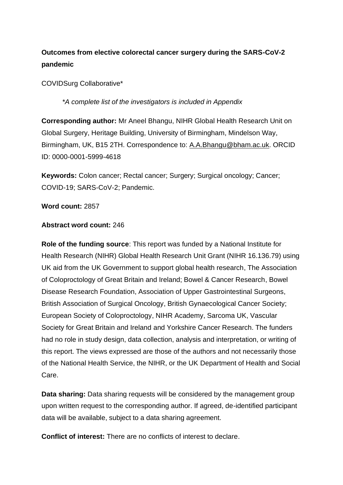# **Outcomes from elective colorectal cancer surgery during the SARS-CoV-2 pandemic**

COVIDSurg Collaborative\*

*\*A complete list of the investigators is included in Appendix* 

**Corresponding author:** Mr Aneel Bhangu, NIHR Global Health Research Unit on Global Surgery, Heritage Building, University of Birmingham, Mindelson Way, Birmingham, UK, B15 2TH. Correspondence to: [A.A.Bhangu@bham.ac.uk.](mailto:A.A.Bhangu@bham.ac.uk) ORCID ID: 0000-0001-5999-4618

**Keywords:** Colon cancer; Rectal cancer; Surgery; Surgical oncology; Cancer; COVID-19; SARS-CoV-2; Pandemic.

### **Word count:** 2857

### **Abstract word count:** 246

**Role of the funding source**: This report was funded by a National Institute for Health Research (NIHR) Global Health Research Unit Grant (NIHR 16.136.79) using UK aid from the UK Government to support global health research, The Association of Coloproctology of Great Britain and Ireland; Bowel & Cancer Research, Bowel Disease Research Foundation, Association of Upper Gastrointestinal Surgeons, British Association of Surgical Oncology, British Gynaecological Cancer Society; European Society of Coloproctology, NIHR Academy, Sarcoma UK, Vascular Society for Great Britain and Ireland and Yorkshire Cancer Research. The funders had no role in study design, data collection, analysis and interpretation, or writing of this report. The views expressed are those of the authors and not necessarily those of the National Health Service, the NIHR, or the UK Department of Health and Social Care.

**Data sharing:** Data sharing requests will be considered by the management group upon written request to the corresponding author. If agreed, de-identified participant data will be available, subject to a data sharing agreement.

**Conflict of interest:** There are no conflicts of interest to declare.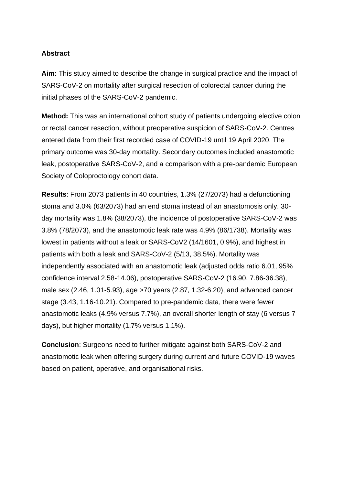## **Abstract**

**Aim:** This study aimed to describe the change in surgical practice and the impact of SARS-CoV-2 on mortality after surgical resection of colorectal cancer during the initial phases of the SARS-CoV-2 pandemic.

**Method:** This was an international cohort study of patients undergoing elective colon or rectal cancer resection, without preoperative suspicion of SARS-CoV-2. Centres entered data from their first recorded case of COVID-19 until 19 April 2020. The primary outcome was 30-day mortality. Secondary outcomes included anastomotic leak, postoperative SARS-CoV-2, and a comparison with a pre-pandemic European Society of Coloproctology cohort data.

**Results**: From 2073 patients in 40 countries, 1.3% (27/2073) had a defunctioning stoma and 3.0% (63/2073) had an end stoma instead of an anastomosis only. 30 day mortality was 1.8% (38/2073), the incidence of postoperative SARS-CoV-2 was 3.8% (78/2073), and the anastomotic leak rate was 4.9% (86/1738). Mortality was lowest in patients without a leak or SARS-CoV2 (14/1601, 0.9%), and highest in patients with both a leak and SARS-CoV-2 (5/13, 38.5%). Mortality was independently associated with an anastomotic leak (adjusted odds ratio 6.01, 95% confidence interval 2.58-14.06), postoperative SARS-CoV-2 (16.90, 7.86-36.38), male sex (2.46, 1.01-5.93), age >70 years (2.87, 1.32-6.20), and advanced cancer stage (3.43, 1.16-10.21). Compared to pre-pandemic data, there were fewer anastomotic leaks (4.9% versus 7.7%), an overall shorter length of stay (6 versus 7 days), but higher mortality (1.7% versus 1.1%).

**Conclusion:** Surgeons need to further mitigate against both SARS-CoV-2 and anastomotic leak when offering surgery during current and future COVID-19 waves based on patient, operative, and organisational risks.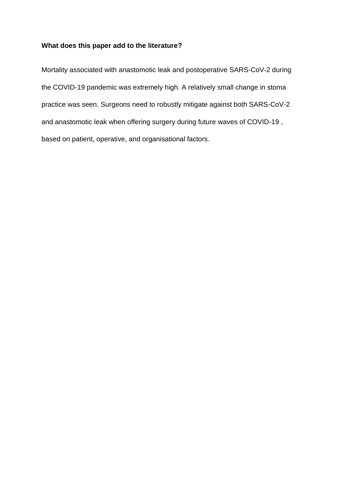# **What does this paper add to the literature?**

Mortality associated with anastomotic leak and postoperative SARS-CoV-2 during the COVID-19 pandemic was extremely high. A relatively small change in stoma practice was seen. Surgeons need to robustly mitigate against both SARS-CoV-2 and anastomotic leak when offering surgery during future waves of COVID-19 , based on patient, operative, and organisational factors.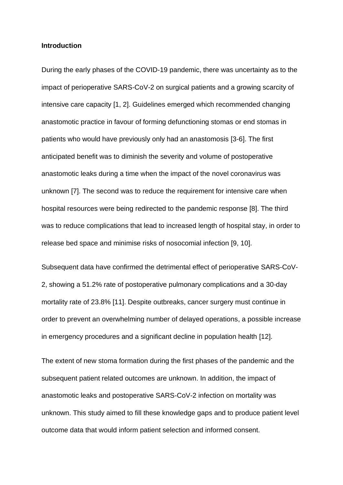### **Introduction**

During the early phases of the COVID-19 pandemic, there was uncertainty as to the impact of perioperative SARS-CoV-2 on surgical patients and a growing scarcity of intensive care capacity [1, 2]. Guidelines emerged which recommended changing anastomotic practice in favour of forming defunctioning stomas or end stomas in patients who would have previously only had an anastomosis [3-6]. The first anticipated benefit was to diminish the severity and volume of postoperative anastomotic leaks during a time when the impact of the novel coronavirus was unknown [7]. The second was to reduce the requirement for intensive care when hospital resources were being redirected to the pandemic response [8]. The third was to reduce complications that lead to increased length of hospital stay, in order to release bed space and minimise risks of nosocomial infection [9, 10].

Subsequent data have confirmed the detrimental effect of perioperative SARS-CoV-2, showing a 51.2% rate of postoperative pulmonary complications and a 30-day mortality rate of 23.8% [11]. Despite outbreaks, cancer surgery must continue in order to prevent an overwhelming number of delayed operations, a possible increase in emergency procedures and a significant decline in population health [12].

The extent of new stoma formation during the first phases of the pandemic and the subsequent patient related outcomes are unknown. In addition, the impact of anastomotic leaks and postoperative SARS-CoV-2 infection on mortality was unknown. This study aimed to fill these knowledge gaps and to produce patient level outcome data that would inform patient selection and informed consent.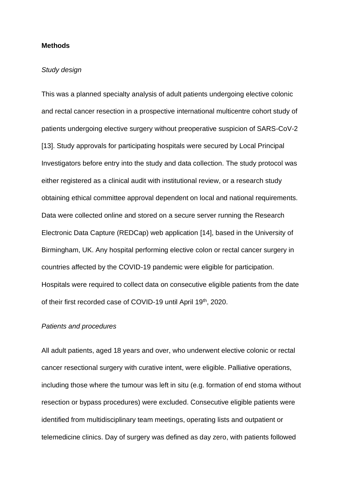#### **Methods**

### *Study design*

This was a planned specialty analysis of adult patients undergoing elective colonic and rectal cancer resection in a prospective international multicentre cohort study of patients undergoing elective surgery without preoperative suspicion of SARS-CoV-2 [13]. Study approvals for participating hospitals were secured by Local Principal Investigators before entry into the study and data collection. The study protocol was either registered as a clinical audit with institutional review, or a research study obtaining ethical committee approval dependent on local and national requirements. Data were collected online and stored on a secure server running the Research Electronic Data Capture (REDCap) web application [14], based in the University of Birmingham, UK. Any hospital performing elective colon or rectal cancer surgery in countries affected by the COVID-19 pandemic were eligible for participation. Hospitals were required to collect data on consecutive eligible patients from the date of their first recorded case of COVID-19 until April 19th, 2020.

### *Patients and procedures*

All adult patients, aged 18 years and over, who underwent elective colonic or rectal cancer resectional surgery with curative intent, were eligible. Palliative operations, including those where the tumour was left in situ (e.g. formation of end stoma without resection or bypass procedures) were excluded. Consecutive eligible patients were identified from multidisciplinary team meetings, operating lists and outpatient or telemedicine clinics. Day of surgery was defined as day zero, with patients followed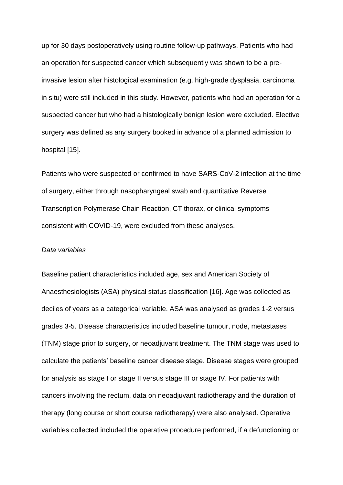up for 30 days postoperatively using routine follow-up pathways. Patients who had an operation for suspected cancer which subsequently was shown to be a preinvasive lesion after histological examination (e.g. high-grade dysplasia, carcinoma in situ) were still included in this study. However, patients who had an operation for a suspected cancer but who had a histologically benign lesion were excluded. Elective surgery was defined as any surgery booked in advance of a planned admission to hospital [15].

Patients who were suspected or confirmed to have SARS-CoV-2 infection at the time of surgery, either through nasopharyngeal swab and quantitative Reverse Transcription Polymerase Chain Reaction, CT thorax, or clinical symptoms consistent with COVID-19, were excluded from these analyses.

#### *Data variables*

Baseline patient characteristics included age, sex and American Society of Anaesthesiologists (ASA) physical status classification [16]. Age was collected as deciles of years as a categorical variable. ASA was analysed as grades 1-2 versus grades 3-5. Disease characteristics included baseline tumour, node, metastases (TNM) stage prior to surgery, or neoadjuvant treatment. The TNM stage was used to calculate the patients' baseline cancer disease stage. Disease stages were grouped for analysis as stage I or stage II versus stage III or stage IV. For patients with cancers involving the rectum, data on neoadjuvant radiotherapy and the duration of therapy (long course or short course radiotherapy) were also analysed. Operative variables collected included the operative procedure performed, if a defunctioning or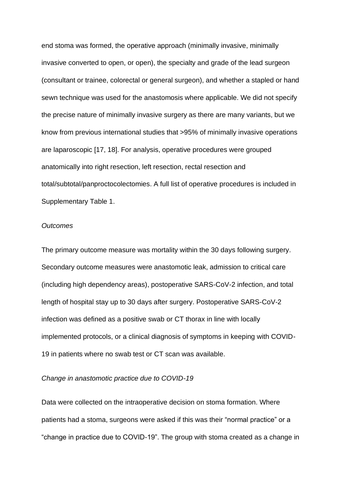end stoma was formed, the operative approach (minimally invasive, minimally invasive converted to open, or open), the specialty and grade of the lead surgeon (consultant or trainee, colorectal or general surgeon), and whether a stapled or hand sewn technique was used for the anastomosis where applicable. We did not specify the precise nature of minimally invasive surgery as there are many variants, but we know from previous international studies that >95% of minimally invasive operations are laparoscopic [17, 18]. For analysis, operative procedures were grouped anatomically into right resection, left resection, rectal resection and total/subtotal/panproctocolectomies. A full list of operative procedures is included in Supplementary Table 1.

### *Outcomes*

The primary outcome measure was mortality within the 30 days following surgery. Secondary outcome measures were anastomotic leak, admission to critical care (including high dependency areas), postoperative SARS-CoV-2 infection, and total length of hospital stay up to 30 days after surgery. Postoperative SARS-CoV-2 infection was defined as a positive swab or CT thorax in line with locally implemented protocols, or a clinical diagnosis of symptoms in keeping with COVID-19 in patients where no swab test or CT scan was available.

#### *Change in anastomotic practice due to COVID-19*

Data were collected on the intraoperative decision on stoma formation. Where patients had a stoma, surgeons were asked if this was their "normal practice" or a "change in practice due to COVID-19". The group with stoma created as a change in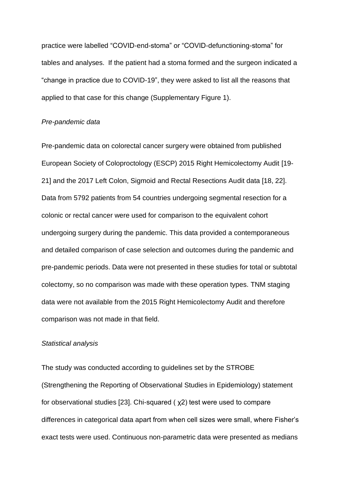practice were labelled "COVID-end-stoma" or "COVID-defunctioning-stoma" for tables and analyses. If the patient had a stoma formed and the surgeon indicated a "change in practice due to COVID-19", they were asked to list all the reasons that applied to that case for this change (Supplementary Figure 1).

#### *Pre-pandemic data*

Pre-pandemic data on colorectal cancer surgery were obtained from published European Society of Coloproctology (ESCP) 2015 Right Hemicolectomy Audit [19- 21] and the 2017 Left Colon, Sigmoid and Rectal Resections Audit data [18, 22]. Data from 5792 patients from 54 countries undergoing segmental resection for a colonic or rectal cancer were used for comparison to the equivalent cohort undergoing surgery during the pandemic. This data provided a contemporaneous and detailed comparison of case selection and outcomes during the pandemic and pre-pandemic periods. Data were not presented in these studies for total or subtotal colectomy, so no comparison was made with these operation types. TNM staging data were not available from the 2015 Right Hemicolectomy Audit and therefore comparison was not made in that field.

#### *Statistical analysis*

The study was conducted according to guidelines set by the STROBE (Strengthening the Reporting of Observational Studies in Epidemiology) statement for observational studies [23]. Chi-squared ( χ2) test were used to compare differences in categorical data apart from when cell sizes were small, where Fisher's exact tests were used. Continuous non-parametric data were presented as medians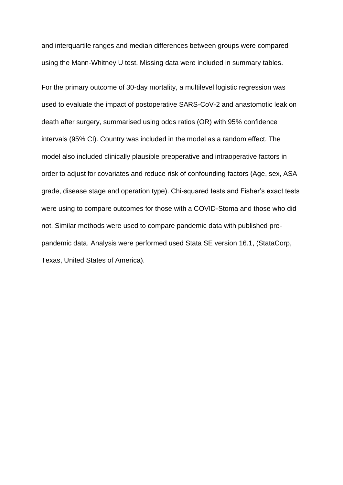and interquartile ranges and median differences between groups were compared using the Mann-Whitney U test. Missing data were included in summary tables.

For the primary outcome of 30-day mortality, a multilevel logistic regression was used to evaluate the impact of postoperative SARS-CoV-2 and anastomotic leak on death after surgery, summarised using odds ratios (OR) with 95% confidence intervals (95% CI). Country was included in the model as a random effect. The model also included clinically plausible preoperative and intraoperative factors in order to adjust for covariates and reduce risk of confounding factors (Age, sex, ASA grade, disease stage and operation type). Chi-squared tests and Fisher's exact tests were using to compare outcomes for those with a COVID-Stoma and those who did not. Similar methods were used to compare pandemic data with published prepandemic data. Analysis were performed used Stata SE version 16.1, (StataCorp, Texas, United States of America).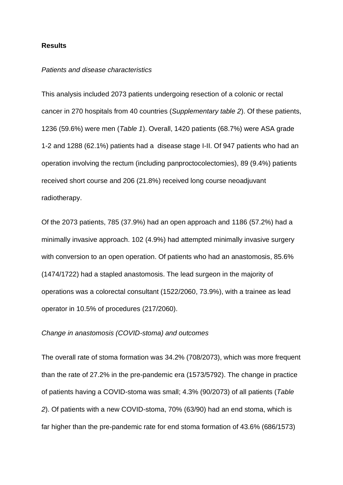#### **Results**

#### *Patients and disease characteristics*

This analysis included 2073 patients undergoing resection of a colonic or rectal cancer in 270 hospitals from 40 countries (*Supplementary table 2*). Of these patients, 1236 (59.6%) were men (*Table 1*). Overall, 1420 patients (68.7%) were ASA grade 1-2 and 1288 (62.1%) patients had a disease stage I-II. Of 947 patients who had an operation involving the rectum (including panproctocolectomies), 89 (9.4%) patients received short course and 206 (21.8%) received long course neoadjuvant radiotherapy.

Of the 2073 patients, 785 (37.9%) had an open approach and 1186 (57.2%) had a minimally invasive approach. 102 (4.9%) had attempted minimally invasive surgery with conversion to an open operation. Of patients who had an anastomosis, 85.6% (1474/1722) had a stapled anastomosis. The lead surgeon in the majority of operations was a colorectal consultant (1522/2060, 73.9%), with a trainee as lead operator in 10.5% of procedures (217/2060).

### *Change in anastomosis (COVID-stoma) and outcomes*

The overall rate of stoma formation was 34.2% (708/2073), which was more frequent than the rate of 27.2% in the pre-pandemic era (1573/5792). The change in practice of patients having a COVID-stoma was small; 4.3% (90/2073) of all patients (*Table 2*). Of patients with a new COVID-stoma, 70% (63/90) had an end stoma, which is far higher than the pre-pandemic rate for end stoma formation of 43.6% (686/1573)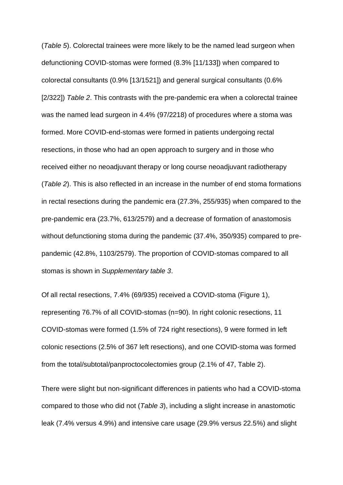(*Table 5*). Colorectal trainees were more likely to be the named lead surgeon when defunctioning COVID-stomas were formed (8.3% [11/133]) when compared to colorectal consultants (0.9% [13/1521]) and general surgical consultants (0.6% [2/322]) *Table 2*. This contrasts with the pre-pandemic era when a colorectal trainee was the named lead surgeon in 4.4% (97/2218) of procedures where a stoma was formed. More COVID-end-stomas were formed in patients undergoing rectal resections, in those who had an open approach to surgery and in those who received either no neoadjuvant therapy or long course neoadjuvant radiotherapy (*Table 2*). This is also reflected in an increase in the number of end stoma formations in rectal resections during the pandemic era (27.3%, 255/935) when compared to the pre-pandemic era (23.7%, 613/2579) and a decrease of formation of anastomosis without defunctioning stoma during the pandemic (37.4%, 350/935) compared to prepandemic (42.8%, 1103/2579). The proportion of COVID-stomas compared to all stomas is shown in *Supplementary table 3*.

Of all rectal resections, 7.4% (69/935) received a COVID-stoma (Figure 1), representing 76.7% of all COVID-stomas (n=90). In right colonic resections, 11 COVID-stomas were formed (1.5% of 724 right resections), 9 were formed in left colonic resections (2.5% of 367 left resections), and one COVID-stoma was formed from the total/subtotal/panproctocolectomies group (2.1% of 47, Table 2).

There were slight but non-significant differences in patients who had a COVID-stoma compared to those who did not (*Table 3*), including a slight increase in anastomotic leak (7.4% versus 4.9%) and intensive care usage (29.9% versus 22.5%) and slight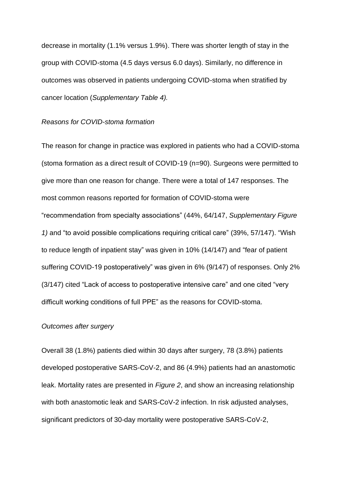decrease in mortality (1.1% versus 1.9%). There was shorter length of stay in the group with COVID-stoma (4.5 days versus 6.0 days). Similarly, no difference in outcomes was observed in patients undergoing COVID-stoma when stratified by cancer location (*Supplementary Table 4).*

#### *Reasons for COVID-stoma formation*

The reason for change in practice was explored in patients who had a COVID-stoma (stoma formation as a direct result of COVID-19 (n=90). Surgeons were permitted to give more than one reason for change. There were a total of 147 responses. The most common reasons reported for formation of COVID-stoma were "recommendation from specialty associations" (44%, 64/147, *Supplementary Figure 1)* and "to avoid possible complications requiring critical care" (39%, 57/147). "Wish to reduce length of inpatient stay" was given in 10% (14/147) and "fear of patient suffering COVID-19 postoperatively" was given in 6% (9/147) of responses. Only 2% (3/147) cited "Lack of access to postoperative intensive care" and one cited "very difficult working conditions of full PPE" as the reasons for COVID-stoma.

### *Outcomes after surgery*

Overall 38 (1.8%) patients died within 30 days after surgery, 78 (3.8%) patients developed postoperative SARS-CoV-2, and 86 (4.9%) patients had an anastomotic leak. Mortality rates are presented in *Figure 2*, and show an increasing relationship with both anastomotic leak and SARS-CoV-2 infection. In risk adjusted analyses, significant predictors of 30-day mortality were postoperative SARS-CoV-2,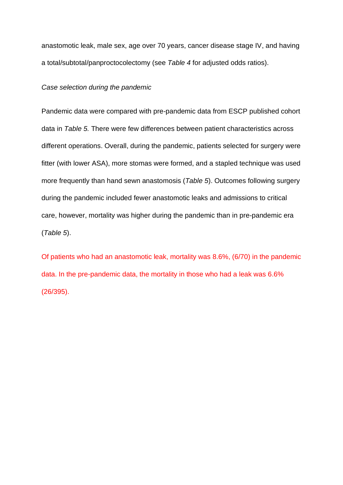anastomotic leak, male sex, age over 70 years, cancer disease stage IV, and having a total/subtotal/panproctocolectomy (see *Table 4* for adjusted odds ratios).

### *Case selection during the pandemic*

Pandemic data were compared with pre-pandemic data from ESCP published cohort data in *Table 5.* There were few differences between patient characteristics across different operations. Overall, during the pandemic, patients selected for surgery were fitter (with lower ASA), more stomas were formed, and a stapled technique was used more frequently than hand sewn anastomosis (*Table 5*). Outcomes following surgery during the pandemic included fewer anastomotic leaks and admissions to critical care, however, mortality was higher during the pandemic than in pre-pandemic era (*Table 5*).

Of patients who had an anastomotic leak, mortality was 8.6%, (6/70) in the pandemic data. In the pre-pandemic data, the mortality in those who had a leak was 6.6% (26/395).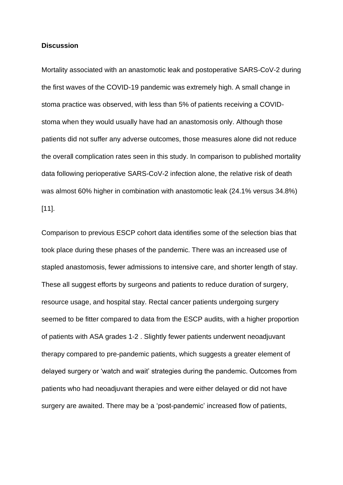### **Discussion**

Mortality associated with an anastomotic leak and postoperative SARS-CoV-2 during the first waves of the COVID-19 pandemic was extremely high. A small change in stoma practice was observed, with less than 5% of patients receiving a COVIDstoma when they would usually have had an anastomosis only. Although those patients did not suffer any adverse outcomes, those measures alone did not reduce the overall complication rates seen in this study. In comparison to published mortality data following perioperative SARS-CoV-2 infection alone, the relative risk of death was almost 60% higher in combination with anastomotic leak (24.1% versus 34.8%) [11].

Comparison to previous ESCP cohort data identifies some of the selection bias that took place during these phases of the pandemic. There was an increased use of stapled anastomosis, fewer admissions to intensive care, and shorter length of stay. These all suggest efforts by surgeons and patients to reduce duration of surgery, resource usage, and hospital stay. Rectal cancer patients undergoing surgery seemed to be fitter compared to data from the ESCP audits, with a higher proportion of patients with ASA grades 1-2 . Slightly fewer patients underwent neoadjuvant therapy compared to pre-pandemic patients, which suggests a greater element of delayed surgery or 'watch and wait' strategies during the pandemic. Outcomes from patients who had neoadjuvant therapies and were either delayed or did not have surgery are awaited. There may be a 'post-pandemic' increased flow of patients,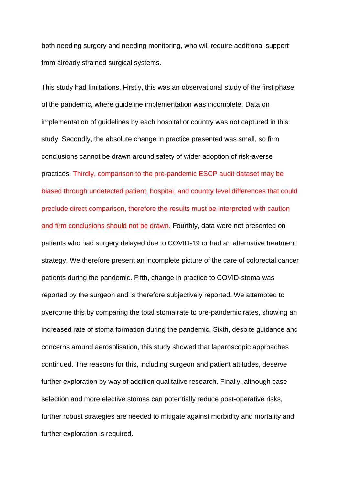both needing surgery and needing monitoring, who will require additional support from already strained surgical systems.

This study had limitations. Firstly, this was an observational study of the first phase of the pandemic, where guideline implementation was incomplete. Data on implementation of guidelines by each hospital or country was not captured in this study. Secondly, the absolute change in practice presented was small, so firm conclusions cannot be drawn around safety of wider adoption of risk-averse practices. Thirdly, comparison to the pre-pandemic ESCP audit dataset may be biased through undetected patient, hospital, and country level differences that could preclude direct comparison, therefore the results must be interpreted with caution and firm conclusions should not be drawn. Fourthly, data were not presented on patients who had surgery delayed due to COVID-19 or had an alternative treatment strategy. We therefore present an incomplete picture of the care of colorectal cancer patients during the pandemic. Fifth, change in practice to COVID-stoma was reported by the surgeon and is therefore subjectively reported. We attempted to overcome this by comparing the total stoma rate to pre-pandemic rates, showing an increased rate of stoma formation during the pandemic. Sixth, despite guidance and concerns around aerosolisation, this study showed that laparoscopic approaches continued. The reasons for this, including surgeon and patient attitudes, deserve further exploration by way of addition qualitative research. Finally, although case selection and more elective stomas can potentially reduce post-operative risks, further robust strategies are needed to mitigate against morbidity and mortality and further exploration is required.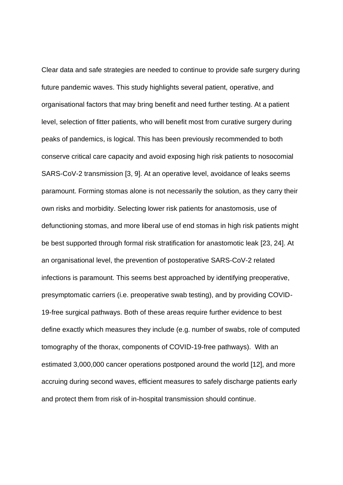Clear data and safe strategies are needed to continue to provide safe surgery during future pandemic waves. This study highlights several patient, operative, and organisational factors that may bring benefit and need further testing. At a patient level, selection of fitter patients, who will benefit most from curative surgery during peaks of pandemics, is logical. This has been previously recommended to both conserve critical care capacity and avoid exposing high risk patients to nosocomial SARS-CoV-2 transmission [3, 9]. At an operative level, avoidance of leaks seems paramount. Forming stomas alone is not necessarily the solution, as they carry their own risks and morbidity. Selecting lower risk patients for anastomosis, use of defunctioning stomas, and more liberal use of end stomas in high risk patients might be best supported through formal risk stratification for anastomotic leak [23, 24]. At an organisational level, the prevention of postoperative SARS-CoV-2 related infections is paramount. This seems best approached by identifying preoperative, presymptomatic carriers (i.e. preoperative swab testing), and by providing COVID-19-free surgical pathways. Both of these areas require further evidence to best define exactly which measures they include (e.g. number of swabs, role of computed tomography of the thorax, components of COVID-19-free pathways). With an estimated 3,000,000 cancer operations postponed around the world [12], and more accruing during second waves, efficient measures to safely discharge patients early and protect them from risk of in-hospital transmission should continue.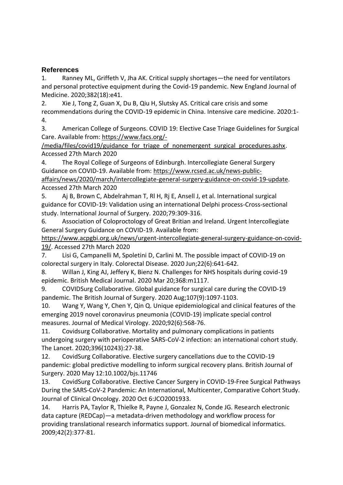# **References**

1. Ranney ML, Griffeth V, Jha AK. Critical supply shortages—the need for ventilators and personal protective equipment during the Covid-19 pandemic. New England Journal of Medicine. 2020;382(18):e41.

2. Xie J, Tong Z, Guan X, Du B, Qiu H, Slutsky AS. Critical care crisis and some recommendations during the COVID-19 epidemic in China. Intensive care medicine. 2020:1- 4.

3. American College of Surgeons. COVID 19: Elective Case Triage Guidelines for Surgical Care. Available from: [https://www.facs.org/-](https://www.facs.org/-/media/files/covid19/guidance_for_triage_of_nonemergent_surgical_procedures.ashx)

/media/files/covid19/guidance for triage of nonemergent surgical procedures.ashx. Accessed 27th March 2020

4. The Royal College of Surgeons of Edinburgh. Intercollegiate General Surgery Guidance on COVID-19. Available from: [https://www.rcsed.ac.uk/news-public](https://www.rcsed.ac.uk/news-public-affairs/news/2020/march/intercollegiate-general-surgery-guidance-on-covid-19-update)[affairs/news/2020/march/intercollegiate-general-surgery-guidance-on-covid-19-update.](https://www.rcsed.ac.uk/news-public-affairs/news/2020/march/intercollegiate-general-surgery-guidance-on-covid-19-update) Accessed 27th March 2020

5. Aj B, Brown C, Abdelrahman T, Rl H, Rj E, Ansell J, et al. International surgical guidance for COVID-19: Validation using an international Delphi process-Cross-sectional study. International Journal of Surgery. 2020;79:309-316.

6. Association of Coloproctology of Great Britian and Ireland. Urgent Intercollegiate General Surgery Guidance on COVID-19. Available from:

[https://www.acpgbi.org.uk/news/urgent-intercollegiate-general-surgery-guidance-on-covid-](https://www.acpgbi.org.uk/news/urgent-intercollegiate-general-surgery-guidance-on-covid-19/)[19/.](https://www.acpgbi.org.uk/news/urgent-intercollegiate-general-surgery-guidance-on-covid-19/) Accessed 27th March 2020

7. Lisi G, Campanelli M, Spoletini D, Carlini M. The possible impact of COVID‐19 on colorectal surgery in Italy. Colorectal Disease. 2020 Jun;22(6):641-642.

8. Willan J, King AJ, Jeffery K, Bienz N. Challenges for NHS hospitals during covid-19 epidemic. British Medical Journal. 2020 Mar 20;368:m1117.

9. COVIDSurg Collaborative. Global guidance for surgical care during the COVID-19 pandemic. The British Journal of Surgery. 2020 Aug;107(9):1097-1103.

10. Wang Y, Wang Y, Chen Y, Qin Q. Unique epidemiological and clinical features of the emerging 2019 novel coronavirus pneumonia (COVID‐19) implicate special control measures. Journal of Medical Virology. 2020;92(6):568-76.

11. Covidsurg Collaborative. Mortality and pulmonary complications in patients undergoing surgery with perioperative SARS-CoV-2 infection: an international cohort study. The Lancet. 2020;396(10243):27-38.

12. CovidSurg Collaborative. Elective surgery cancellations due to the COVID-19 pandemic: global predictive modelling to inform surgical recovery plans. British Journal of Surgery. 2020 May 12:10.1002/bjs.11746

13. CovidSurg Collaborative. Elective Cancer Surgery in COVID-19-Free Surgical Pathways During the SARS-CoV-2 Pandemic: An International, Multicenter, Comparative Cohort Study. Journal of Clinical Oncology. 2020 Oct 6:JCO2001933.

14. Harris PA, Taylor R, Thielke R, Payne J, Gonzalez N, Conde JG. Research electronic data capture (REDCap)—a metadata-driven methodology and workflow process for providing translational research informatics support. Journal of biomedical informatics. 2009;42(2):377-81.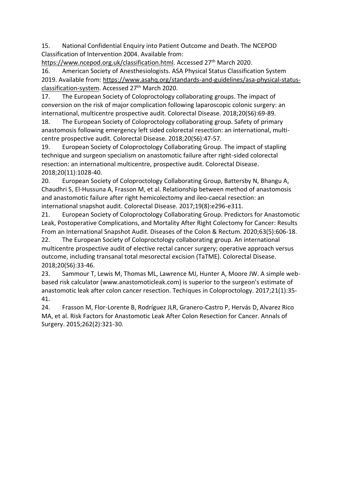15. National Confidential Enquiry into Patient Outcome and Death. The NCEPOD Classification of Intervention 2004. Available from:

[https://www.ncepod.org.uk/classification.html.](https://www.ncepod.org.uk/classification.html) Accessed 27<sup>th</sup> March 2020.

16. American Society of Anesthesiologists. ASA Physical Status Classification System 2019. Available from: [https://www.asahq.org/standards-and-guidelines/asa-physical-status](https://www.asahq.org/standards-and-guidelines/asa-physical-status-classification-system)[classification-system.](https://www.asahq.org/standards-and-guidelines/asa-physical-status-classification-system) Accessed 27th March 2020.

17. The European Society of Coloproctology collaborating groups. The impact of conversion on the risk of major complication following laparoscopic colonic surgery: an international, multicentre prospective audit. Colorectal Disease. 2018;20(S6):69-89.

18. The European Society of Coloproctology collaborating group. Safety of primary anastomosis following emergency left sided colorectal resection: an international, multicentre prospective audit. Colorectal Disease. 2018;20(S6):47-57.

19. European Society of Coloproctology Collaborating Group. The impact of stapling technique and surgeon specialism on anastomotic failure after right-sided colorectal resection: an international multicentre, prospective audit. Colorectal Disease. 2018;20(11):1028-40.

20. European Society of Coloproctology Collaborating Group, Battersby N, Bhangu A, Chaudhri S, El‐Hussuna A, Frasson M, et al. Relationship between method of anastomosis and anastomotic failure after right hemicolectomy and ileo‐caecal resection: an international snapshot audit. Colorectal Disease. 2017;19(8):e296-e311.

21. European Society of Coloproctology Collaborating Group. Predictors for Anastomotic Leak, Postoperative Complications, and Mortality After Right Colectomy for Cancer: Results From an International Snapshot Audit. Diseases of the Colon & Rectum. 2020;63(5):606-18.

22. The European Society of Coloproctology collaborating group. An international multicentre prospective audit of elective rectal cancer surgery; operative approach versus outcome, including transanal total mesorectal excision (TaTME). Colorectal Disease. 2018;20(S6):33-46.

23. Sammour T, Lewis M, Thomas ML, Lawrence MJ, Hunter A, Moore JW. A simple webbased risk calculator (www.anastomoticleak.com) is superior to the surgeon's estimate of anastomotic leak after colon cancer resection. Techiques in Coloproctology. 2017;21(1):35- 41.

24. Frasson M, Flor-Lorente B, Rodríguez JLR, Granero-Castro P, Hervás D, Alvarez Rico MA, et al. Risk Factors for Anastomotic Leak After Colon Resection for Cancer. Annals of Surgery. 2015;262(2):321-30.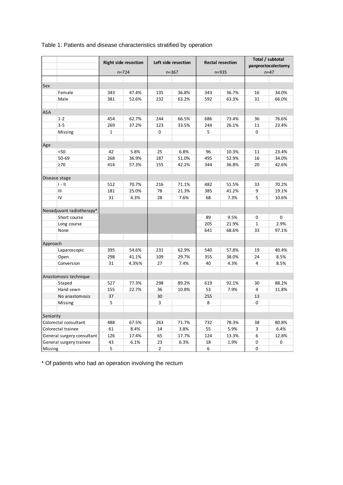|            |                            | <b>Right side resection</b> |           |                | Left side resection |     | <b>Rectal resection</b> | Total / subtotal<br>panproctocolectomy |          |  |
|------------|----------------------------|-----------------------------|-----------|----------------|---------------------|-----|-------------------------|----------------------------------------|----------|--|
|            |                            |                             | $n = 724$ |                | $n = 367$           |     | n=935                   |                                        | $n = 47$ |  |
|            |                            |                             |           |                |                     |     |                         |                                        |          |  |
| Sex        |                            |                             |           |                |                     |     |                         |                                        |          |  |
|            | Female                     | 343                         | 47.4%     | 135            | 36.8%               | 343 | 36.7%                   | 16                                     | 34.0%    |  |
|            | Male                       | 381                         | 52.6%     | 232            | 63.2%               | 592 | 63.3%                   | 31                                     | 66.0%    |  |
|            |                            |                             |           |                |                     |     |                         |                                        |          |  |
| <b>ASA</b> |                            |                             |           |                |                     |     |                         |                                        |          |  |
|            | $1 - 2$                    | 454                         | 62.7%     | 244            | 66.5%               | 686 | 73.4%                   | 36                                     | 76.6%    |  |
|            | $3 - 5$                    | 269                         | 37.2%     | 123            | 33.5%               | 244 | 26.1%                   | 11                                     | 23.4%    |  |
|            | Missing                    | $\mathbf 1$                 |           | 0              |                     | 5   |                         | 0                                      |          |  |
|            |                            |                             |           |                |                     |     |                         |                                        |          |  |
| Age        |                            |                             |           |                |                     |     |                         |                                        |          |  |
|            | $50$                       | 42                          | 5.8%      | 25             | 6.8%                | 96  | 10.3%                   | 11                                     | 23.4%    |  |
|            | 50-69                      | 268                         | 36.9%     | 187            | 51.0%               | 495 | 52.9%                   | 16                                     | 34.0%    |  |
|            | $\geq 70$                  | 414                         | 57.3%     | 155            | 42.2%               | 344 | 36.8%                   | 20                                     | 42.6%    |  |
|            |                            |                             |           |                |                     |     |                         |                                        |          |  |
|            | Disease stage              |                             |           |                |                     |     |                         |                                        |          |  |
|            | $I - II$                   | 512                         | 70.7%     | 216            | 71.1%               | 482 | 51.5%                   | 33                                     | 70.2%    |  |
|            | Ш                          | 181                         | 25.0%     | 78             | 21.3%               | 385 | 41.2%                   | 9                                      | 19.1%    |  |
|            | IV                         | 31                          | 4.3%      | 28             | 7.6%                | 68  | 7.3%                    | 5                                      | 10.6%    |  |
|            |                            |                             |           |                |                     |     |                         |                                        |          |  |
|            | Neoadjuvant radiotherapy*  |                             |           |                |                     |     |                         |                                        |          |  |
|            | Short course               |                             |           |                |                     | 89  | 9.5%                    | 0                                      | 0        |  |
|            | Long course                |                             |           |                |                     | 205 | 21.9%                   | $\mathbf{1}$                           | 2.9%     |  |
|            | None                       |                             |           |                |                     | 641 | 68.6%                   | 33                                     | 97.1%    |  |
|            |                            |                             |           |                |                     |     |                         |                                        |          |  |
| Approach   |                            |                             |           |                |                     |     |                         |                                        |          |  |
|            | Laparoscopic               | 395                         | 54.6%     | 231            | 62.9%               | 540 | 57.8%                   | 19                                     | 40.4%    |  |
|            | Open                       | 298                         | 41.1%     | 109            | 29.7%               | 355 | 38.0%                   | 24                                     | 8.5%     |  |
|            | Conversion                 | 31                          | 4.3%%     | 27             | 7.4%                | 40  | 4.3%                    | 4                                      | 8.5%     |  |
|            |                            |                             |           |                |                     |     |                         |                                        |          |  |
|            | Anastomosis technique      |                             |           |                |                     |     |                         |                                        |          |  |
|            | Staped                     | 527                         | 77.3%     | 298            | 89.2%               | 619 | 92.1%                   | 30                                     | 88.2%    |  |
|            | Hand sewn                  | 155                         | 22.7%     | 36             | 10.8%               | 53  | 7.9%                    | 4                                      | 11.8%    |  |
|            | No anastomosis             | 37                          |           | 30             |                     | 255 |                         | 13                                     |          |  |
|            | Missing                    | 5                           |           | 3              |                     | 8   |                         | 0                                      |          |  |
|            |                            |                             |           |                |                     |     |                         |                                        |          |  |
| Seniority  |                            |                             |           |                |                     |     |                         |                                        |          |  |
|            | Colorectal consultant      | 488                         | 67.5%     | 263            | 71.7%               | 732 | 78.3%                   | 38                                     | 80.8%    |  |
|            | Colorectal trainee         | 61                          | 8.4%      | 14             | 3.8%                | 55  | 5.9%                    | 3                                      | 6.4%     |  |
|            | General surgery consultant | 126                         | 17.4%     | 65             | 17.7%               | 124 | 13.3%                   | 6                                      | 12.8%    |  |
|            | General surgery trainee    | 43                          | 6.1%      | 23             | 6.3%                | 18  | 1.9%                    | 0                                      | 0        |  |
| Missing    |                            | 5                           |           | $\overline{2}$ |                     | 6   |                         | 0                                      |          |  |

# Table 1: Patients and disease characteristics stratified by operation

\* Of patients who had an operation involving the rectum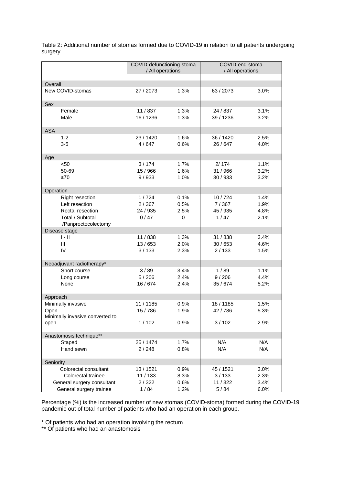|                                                                                                         | COVID-defunctioning-stoma<br>/ All operations |                                     | COVID-end-stoma<br>/ All operations    |                              |  |
|---------------------------------------------------------------------------------------------------------|-----------------------------------------------|-------------------------------------|----------------------------------------|------------------------------|--|
| Overall                                                                                                 |                                               |                                     |                                        |                              |  |
| New COVID-stomas                                                                                        | 27 / 2073                                     | 1.3%                                | 63/2073                                | 3.0%                         |  |
| Sex                                                                                                     |                                               |                                     |                                        |                              |  |
| Female<br>Male                                                                                          | 11/837<br>16 / 1236                           | 1.3%<br>1.3%                        | 24 / 837<br>39 / 1236                  | 3.1%<br>3.2%                 |  |
| <b>ASA</b>                                                                                              |                                               |                                     |                                        |                              |  |
| $1 - 2$<br>$3-5$                                                                                        | 23 / 1420<br>4/647                            | 1.6%<br>0.6%                        | 36 / 1420<br>26/647                    | 2.5%<br>4.0%                 |  |
| Age                                                                                                     |                                               |                                     |                                        |                              |  |
| $50$<br>50-69<br>$\geq 70$                                                                              | 3/174<br>15 / 966<br>9/933                    | 1.7%<br>1.6%<br>1.0%                | 2/174<br>31 / 966<br>30 / 933          | 1.1%<br>3.2%<br>3.2%         |  |
| Operation                                                                                               |                                               |                                     |                                        |                              |  |
| <b>Right resection</b><br>Left resection<br>Rectal resection<br>Total / Subtotal<br>/Panproctocolectomy | 1/724<br>2/367<br>24 / 935<br>0/47            | 0.1%<br>0.5%<br>2.5%<br>$\mathbf 0$ | 10/724<br>7/367<br>45 / 935<br>1/47    | 1.4%<br>1.9%<br>4.8%<br>2.1% |  |
| Disease stage                                                                                           |                                               |                                     |                                        |                              |  |
| $1 - 11$<br>III<br>IV                                                                                   | 11/838<br>13/653<br>3/133                     | 1.3%<br>2.0%<br>2.3%                | 31 / 838<br>30/653<br>2/133            | 3.4%<br>4.6%<br>1.5%         |  |
| Neoadjuvant radiotherapy*                                                                               |                                               |                                     |                                        |                              |  |
| Short course<br>Long course<br>None                                                                     | 3/89<br>5/206<br>16/674                       | 3.4%<br>2.4%<br>2.4%                | 1/89<br>9/206<br>35/674                | 1.1%<br>4.4%<br>5.2%         |  |
| Approach                                                                                                |                                               |                                     |                                        |                              |  |
| Minimally invasive<br>Open<br>Minimally invasive converted to<br>open                                   | 11 / 1185<br>15/786<br>1/102                  | 0.9%<br>1.9%<br>0.9%                | 18/1185<br>42/786<br>3/102             | 1.5%<br>5.3%<br>2.9%         |  |
|                                                                                                         |                                               |                                     |                                        |                              |  |
| Anastomosis technique**<br>Staped<br>Hand sewn                                                          | 25 / 1474<br>2/248                            | 1.7%<br>0.8%                        | N/A<br>N/A                             | N/A<br>N/A                   |  |
| Seniority                                                                                               |                                               |                                     |                                        |                              |  |
| Colorectal consultant<br>Colorectal trainee<br>General surgery consultant<br>General surgery trainee    | 13 / 1521<br>11/133<br>2/322<br>1/84          | 0.9%<br>8.3%<br>0.6%<br>1.2%        | 45 / 1521<br>3/133<br>11 / 322<br>5/84 | 3.0%<br>2.3%<br>3.4%<br>6.0% |  |

Table 2: Additional number of stomas formed due to COVID-19 in relation to all patients undergoing surgery

Percentage (%) is the increased number of new stomas (COVID-stoma) formed during the COVID-19 pandemic out of total number of patients who had an operation in each group.

\* Of patients who had an operation involving the rectum

\*\* Of patients who had an anastomosis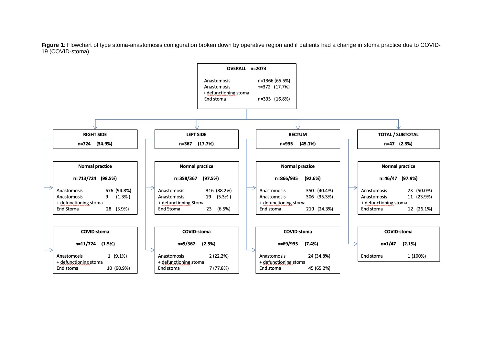**Figure 1**: Flowchart of type stoma-anastomosis configuration broken down by operative region and if patients had a change in stoma practice due to COVID-19 (COVID-stoma).

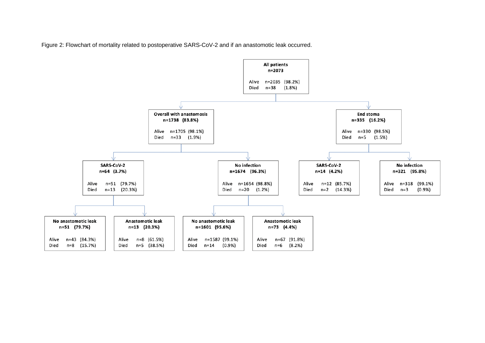Figure 2: Flowchart of mortality related to postoperative SARS-CoV-2 and if an anastomotic leak occurred.

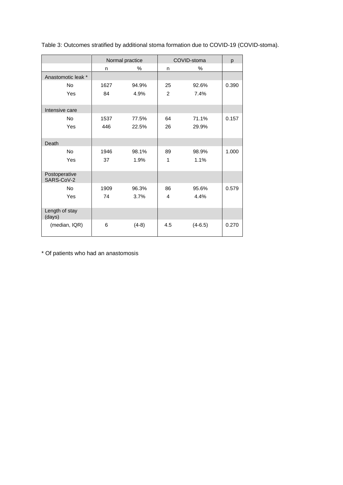|                             |           | Normal practice | COVID-stoma    | p         |       |
|-----------------------------|-----------|-----------------|----------------|-----------|-------|
|                             | $\%$<br>n |                 | n.             | $\%$      |       |
| Anastomotic leak *          |           |                 |                |           |       |
| No                          | 1627      | 94.9%           | 25             | 92.6%     | 0.390 |
| Yes                         | 84        | 4.9%            | $\overline{2}$ | 7.4%      |       |
| Intensive care              |           |                 |                |           |       |
| <b>No</b>                   | 1537      | 77.5%           | 64             | 71.1%     | 0.157 |
| Yes                         | 446       | 22.5%           | 26             | 29.9%     |       |
| Death                       |           |                 |                |           |       |
| No                          | 1946      | 98.1%           | 89             | 98.9%     | 1.000 |
| Yes                         | 37        | 1.9%            | 1              | 1.1%      |       |
| Postoperative<br>SARS-CoV-2 |           |                 |                |           |       |
| <b>No</b>                   | 1909      | 96.3%           | 86             | 95.6%     | 0.579 |
| Yes                         | 74        | 3.7%            | 4              | 4.4%      |       |
| Length of stay<br>(days)    |           |                 |                |           |       |
| (median, IQR)               | 6         | $(4-8)$         | 4.5            | $(4-6.5)$ | 0.270 |

Table 3: Outcomes stratified by additional stoma formation due to COVID-19 (COVID-stoma).

\* Of patients who had an anastomosis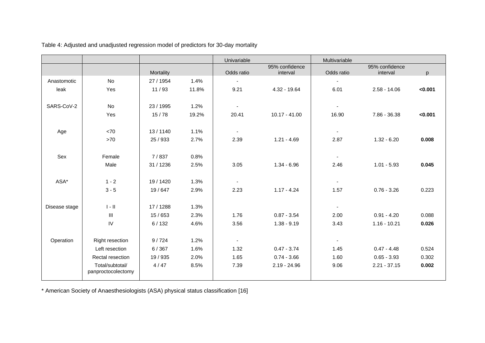|               |                                       |           |       | Univariable    |                            | Multivariable            |                            |         |
|---------------|---------------------------------------|-----------|-------|----------------|----------------------------|--------------------------|----------------------------|---------|
|               |                                       | Mortality |       | Odds ratio     | 95% confidence<br>interval | Odds ratio               | 95% confidence<br>interval | p       |
| Anastomotic   | No                                    | 27 / 1954 | 1.4%  | $\blacksquare$ |                            | $\overline{\phantom{a}}$ |                            |         |
| leak          | Yes                                   | 11/93     | 11.8% | 9.21           | 4.32 - 19.64               | 6.01                     | $2.58 - 14.06$             | < 0.001 |
| SARS-CoV-2    | No                                    | 23 / 1995 | 1.2%  |                |                            | $\overline{\phantom{a}}$ |                            |         |
|               | Yes                                   | 15/78     | 19.2% | 20.41          | $10.17 - 41.00$            | 16.90                    | 7.86 - 36.38               | < 0.001 |
| Age           | <70                                   | 13/1140   | 1.1%  | $\sim$         |                            | $\overline{\phantom{a}}$ |                            |         |
|               | $>70$                                 | 25 / 933  | 2.7%  | 2.39           | $1.21 - 4.69$              | 2.87                     | $1.32 - 6.20$              | 0.008   |
| Sex           | Female                                | 7/837     | 0.8%  |                |                            | $\overline{\phantom{a}}$ |                            |         |
|               | Male                                  | 31 / 1236 | 2.5%  | 3.05           | $1.34 - 6.96$              | 2.46                     | $1.01 - 5.93$              | 0.045   |
| ASA*          | $1 - 2$                               | 19 / 1420 | 1.3%  |                |                            |                          |                            |         |
|               | $3 - 5$                               | 19/647    | 2.9%  | 2.23           | $1.17 - 4.24$              | 1.57                     | $0.76 - 3.26$              | 0.223   |
| Disease stage | $\parallel$ - $\parallel$             | 17 / 1288 | 1.3%  |                |                            | $\sim$                   |                            |         |
|               | $\ensuremath{\mathsf{III}}\xspace$    | 15/653    | 2.3%  | 1.76           | $0.87 - 3.54$              | 2.00                     | $0.91 - 4.20$              | 0.088   |
|               | IV                                    | 6/132     | 4.6%  | 3.56           | $1.38 - 9.19$              | 3.43                     | $1.16 - 10.21$             | 0.026   |
| Operation     | <b>Right resection</b>                | 9/724     | 1.2%  |                |                            |                          |                            |         |
|               | Left resection                        | 6/367     | 1.6%  | 1.32           | $0.47 - 3.74$              | 1.45                     | $0.47 - 4.48$              | 0.524   |
|               | Rectal resection                      | 19 / 935  | 2.0%  | 1.65           | $0.74 - 3.66$              | 1.60                     | $0.65 - 3.93$              | 0.302   |
|               | Total/subtotal/<br>panproctocolectomy | 4/47      | 8.5%  | 7.39           | $2.19 - 24.96$             | 9.06                     | $2.21 - 37.15$             | 0.002   |

Table 4: Adjusted and unadjusted regression model of predictors for 30-day mortality

\* American Society of Anaesthesiologists (ASA) physical status classification [16]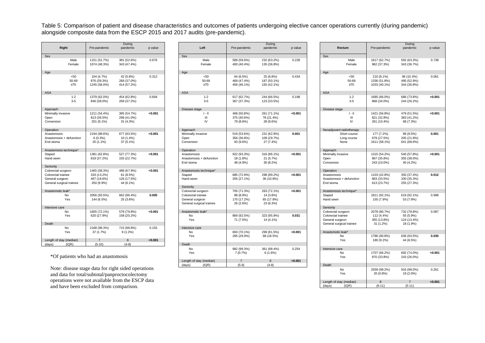Table 5: Comparison of patient and disease characteristics and outcomes of patients undergoing elective cancer operations currently (during pandemic) alongside composite data from the ESCP 2015 and 2017 audits (pre-pandemic).

| Right                                       | Pre-pandemic                | During<br>pandemic       | p value |
|---------------------------------------------|-----------------------------|--------------------------|---------|
| Sex                                         |                             |                          |         |
| Male                                        | 1151 (51.7%)                | 381 (52.6%)              | 0.676   |
| Female                                      | 1074 (48.3%)                | 343 (47.4%)              |         |
| Age                                         |                             |                          |         |
| < 50                                        | 104 (4.7%)                  | 42 (5.8%)                | 0.312   |
| 50-69                                       | 876 (39.3%)                 | 268 (37.0%)              |         |
| $\geq 70$                                   | 1245 (56.0%)                | 414 (57.2%)              |         |
|                                             |                             |                          |         |
| <b>ASA</b>                                  |                             |                          |         |
| $1 - 2$                                     | 1379 (62.0%)                | 454 (62.8%)              | 0.694   |
| $3-5$                                       | 846 (38.0%)                 | 269 (37.2%)              |         |
| Approach                                    |                             |                          |         |
| Minimally invasive                          | 1211 (54.4%)                | 395 (54.7%)              | < 0.001 |
| Open                                        | 813 (36.5%)                 | 298 (41.0%)              |         |
| Conversion                                  | 201 (9.1%)                  | 31 (4.3%)                |         |
|                                             |                             |                          |         |
| Operation                                   |                             |                          |         |
| Anastomosis                                 | 2194 (98.6%)                | 677 (93.5%)              | < 0.001 |
| Anastomosis + defunction                    | 6(0.3%)                     | 10 (1.4%)                |         |
| End stoma                                   | 25 (1.1%)                   | 37 (5.1%)                |         |
| Anastomosis technique*                      |                             |                          |         |
| Staped                                      | 1381 (62.8%)                | 527 (77.3%)              | < 0.001 |
| Hand sewn                                   | 819 (37.2%)                 | 155 (22.7%)              |         |
|                                             |                             |                          |         |
| Seniority                                   |                             |                          |         |
| Colorectal surgeon                          | 1465 (58.3%)                | 488 (67.9%)              | < 0.001 |
| Colorectal trainee                          | 333 (13.2%)                 | 61 (8.5%)                |         |
| General surgeon<br>General surgical trainee | 467 (18.6%)                 | 126 (17.5%)<br>44 (6.1%) |         |
|                                             | 250 (9.9%)                  |                          |         |
| Anastomotic leak*                           |                             |                          |         |
| N <sub>0</sub>                              | 2056 (93.5%)                | 662 (96.4%)              | 0.005   |
| Yes                                         | 144 (6.5%)                  | 25 (3.6%)                |         |
|                                             |                             |                          |         |
| Intensive care                              |                             |                          |         |
| No<br>Yes                                   | 1605 (72.1%)<br>620 (27.9%) | 578 (79.8%)              | < 0.001 |
|                                             |                             | 158 (20.2%)              |         |
| Death                                       |                             |                          |         |
| N <sub>o</sub>                              | 2188 (98.3%)                | 715 (98.8%)              | 0.155   |
| Yes                                         | 37 (1.7%)                   | $9(1.2\%)$               |         |
|                                             |                             |                          |         |
| Length of stay (median)                     | $\overline{7}$              | 6                        | < 0.001 |
| (days)<br>(IQR)                             | $(5-10)$                    | $(4-8)$                  |         |

Note: disease stage data for right sided operations and data for total/subtotal/panproctocolectomy operations were not available from the ESCP data and have been excluded from comparison.

|                                          | Right                      | Pre-pandemic                              | During<br>pandemic                      | p value |                                       | Left                                                                                    | Pre-pandemic                                         | During<br>pandemic                                  | p value |                                | Rectum                                                      | Pre-pandemic                               | During<br>pandemic                        | p value |
|------------------------------------------|----------------------------|-------------------------------------------|-----------------------------------------|---------|---------------------------------------|-----------------------------------------------------------------------------------------|------------------------------------------------------|-----------------------------------------------------|---------|--------------------------------|-------------------------------------------------------------|--------------------------------------------|-------------------------------------------|---------|
| Sex                                      | Male<br>Female             | 1151 (51.7%)<br>1074 (48.3%)              | 381 (52.6%)<br>343 (47.4%)              | 0.676   | Sex                                   | Male<br>Female                                                                          | 589 (59.6%)<br>400 (40.4%)                           | 232 (63.2%)<br>135 (36.8%)                          | 0.228   | Sex                            | Male<br>Female                                              | 1617 (62.7%)<br>962 (37.3%)                | 592 (63.3%)<br>343 (36.7%)                | 0.738   |
| Age                                      |                            |                                           |                                         |         | Age                                   |                                                                                         |                                                      |                                                     |         | Age                            |                                                             |                                            |                                           |         |
|                                          | < 50<br>50-69<br>$\geq 70$ | 104 (4.7%)<br>876 (39.3%)<br>1245 (56.0%) | 42 (5.8%)<br>268 (37.0%)<br>414 (57.2%) | 0.312   |                                       | $50$<br>50-69<br>$\geq 70$                                                              | 64 (6.5%)<br>469 (47.4%)<br>456 (46.1%)              | 25 (6.8%)<br>187 (50.1%)<br>155 (42.1%)             | 0.434   |                                | < 50<br>50-69<br>$\geq 70$                                  | 210 (8.1%)<br>1336 (51.8%)<br>1033 (40.1%) | 96 (10.3%)<br>495 (52.9%)<br>344 (36.8%)  | 0.061   |
| ASA                                      |                            |                                           |                                         |         | <b>ASA</b>                            |                                                                                         |                                                      |                                                     |         | <b>ASA</b>                     |                                                             |                                            |                                           |         |
|                                          | $1 - 2$<br>$3-5$           | 1379 (62.0%)<br>846 (38.0%)               | 454 (62.8%)<br>269 (37.2%)              | 0.694   |                                       | $1 - 2$<br>$3-5$                                                                        | 617 (62.7%)<br>367 (37.3%)                           | 244 (66.5%)<br>123 (33.5%)                          | 0.198   |                                | $1 - 2$<br>$3-5$                                            | 1685 (66.0%)<br>868 (34.0%)                | 686 (73.8%)<br>244 (26.2%)                | < 0.001 |
| Approach                                 |                            |                                           |                                         |         |                                       | Disease stage                                                                           |                                                      |                                                     |         | Disease stage                  |                                                             |                                            |                                           |         |
| Minimally invasive<br>Open<br>Conversion |                            | 1211 (54.4%)<br>813 (36.5%)<br>201 (9.1%) | 395 (54.7%)<br>298 (41.0%)<br>31 (4.3%) | < 0.001 |                                       | $1 - 11$<br>$\mathbf{III}$<br>${\sf IV}$                                                | 468 (50.8%)<br>375 (40.6%)<br>79 (8.6%)              | 261 (71.1%)<br>78 (21.4%)<br>28 (9.6%)              | < 0.001 |                                | $1 - 11$<br>Ш<br>IV                                         | 1421 (56.8%)<br>821 (32.8%)<br>261 (10.4%) | 479 (51.5%)<br>383 (41.2%)<br>68 (7.3%)   | < 0.001 |
| Operation                                |                            |                                           |                                         |         | Approach                              |                                                                                         |                                                      |                                                     |         |                                | Neoadjuvant radiotherapy                                    |                                            |                                           |         |
| Anastomosis<br>End stoma                 | Anastomosis + defunction   | 2194 (98.6%)<br>6(0.3%)<br>25 (1.1%)      | 677 (93.5%)<br>10 (1.4%)<br>37 (5.1%)   | < 0.001 | Open<br>Conversion                    | Minimally invasive                                                                      | 519 (53.6%)<br>356 (36.8%)<br>93 (9.6%)              | 231 (62.9%)<br>109 (29.7%)<br>27 (7.4%)             | 0.001   |                                | Short course<br>Long course<br>None                         | 177 (7.2%)<br>679 (27.5%)<br>1611 (58.1%)  | 89 (9.5%)<br>205 (21.9%)<br>641 (68.6%)   | 0.001   |
| Staped<br>Hand sewn<br>Seniority         | Anastomosis technique*     | 1381 (62.8%)<br>819 (37.2%)               | 527 (77.3%)<br>155 (22.7%)              | < 0.001 | Operation<br>Anastomosis<br>End stoma | Anastomosis + defunction                                                                | 922 (93.3%)<br>18 (1.8%)<br>48 (4.9%)                | 316 (86.1%)<br>21 (5.7%)<br>30 (8.2%)               | < 0.001 | Approach<br>Open<br>Conversion | Minimally invasive                                          | 1315 (54.2%)<br>867 (35.8%)<br>243 (10.0%) | 540 (57.8%)<br>355 (38.0%)<br>40 (4.2%)   | < 0.001 |
| Colorectal surgeon                       |                            | 1465 (58.3%)                              | 488 (67.9%)                             | <0.001  |                                       | Anastomosis technique*                                                                  |                                                      |                                                     |         | Operation                      |                                                             |                                            |                                           |         |
| Colorectal trainee<br>General surgeon    | General surgical trainee   | 333 (13.2%)<br>467 (18.6%)<br>250 (9.9%)  | 61 (8.5%)<br>126 (17.5%)<br>44 (6.1%)   |         | Staped<br>Hand sewn                   |                                                                                         | 685 (72.9%)<br>255 (27.1%)                           | 298 (89.2%)<br>36 (10.8%)                           | < 0.001 | Anastomosis<br>End stoma       | Anastomosis + defunction                                    | 1103 (42.8%)<br>863 (33.5%)<br>613 (23.7%) | 350 (37.4%)<br>330 (35.3%)<br>255 (27.3%) | 0.012   |
|                                          |                            |                                           |                                         |         | Seniority                             |                                                                                         |                                                      |                                                     |         |                                |                                                             |                                            |                                           |         |
| Anastomotic leak*                        | No<br>Yes                  | 2056 (93.5%)<br>144 (6.5%)                | 662 (96.4%)<br>25 (3.6%)                | 0.005   |                                       | Colorectal surgeon<br>Colorectal trainee<br>General surgeon<br>General surgical trainee | 705 (71.3%)<br>88 (8.9%)<br>170 (17.2%)<br>26 (2.6%) | 263 (72.1%)<br>14 (3.8%)<br>65 (17.8%)<br>23 (6.3%) | < 0.001 | Staped<br>Hand sewn            | Anastomosis technique*                                      | 1811 (92.1%)<br>155 (7.9%)                 | 619 (92.1%)<br>53 (7.9%)                  | 0.998   |
| Intensive care                           |                            |                                           |                                         |         |                                       |                                                                                         |                                                      |                                                     |         | Seniority                      |                                                             |                                            |                                           |         |
|                                          | No<br>Yes                  | 1605 (72.1%)<br>620 (27.9%)               | 578 (79.8%)<br>158 (20.2%)              | < 0.001 | No                                    | Anastomotic leak*<br>Yes                                                                | 869 (92.5%)<br>71 (7.5%)                             | 323 (95.9%)<br>14 (4.1%)                            | 0.031   |                                | Colorectal surgeon<br>Colorectal trainee<br>General surgeon | 2078 (80.7%)<br>112 (4.4%)<br>355 (13.8%)  | 732 (78.8%)<br>55 (5.9%)<br>124 (13.4%)   | 0.087   |
| Death                                    | No                         | 2188 (98.3%)                              | 715 (98.8%)                             | 0.155   |                                       | Intensive care                                                                          |                                                      |                                                     |         |                                | General surgical trainee                                    | 31 (1.2%)                                  | 18 (1.9%)                                 |         |
|                                          | Yes                        | 37 (1.7%)                                 | $9(1.2\%)$                              |         | No                                    | Yes                                                                                     | 693 (70.1%)<br>295 (29.9%)                           | 299 (81.5%)<br>68 (18.5%)                           | < 0.001 |                                | Anastomotic leak*<br>No                                     | 1786 (90.8%)                               | 636 (93.5%)                               | 0.030   |
| Length of stay (median)                  |                            | $\overline{7}$                            | 6                                       | < 0.001 |                                       |                                                                                         |                                                      |                                                     |         |                                | Yes                                                         | 180 (9.2%)                                 | 44 (6.5%)                                 |         |
| (days)                                   | ( IQR)                     | $(5-10)$                                  | $(4-8)$                                 |         | Death<br>No                           | Yes                                                                                     | 982 (99.3%)<br>7(0.7%)                               | 361 (98.4%)<br>6(1.6%)                              | 0.254   | Intensive care                 | No                                                          | 1707 (66.2%)                               | 692 (74.0%)                               | < 0.001 |
|                                          |                            | *Of patients who had an anastomosis       |                                         |         |                                       | Length of stay (median)                                                                 | $\overline{7}$                                       | 6                                                   | < 0.001 |                                | Yes                                                         | 870 (33.8%)                                | 243 (26.0%)                               |         |
|                                          |                            | $\sim$ $\sim$ $\sim$ $\sim$ $\sim$ $\sim$ |                                         |         | (days)                                | ( IQR)                                                                                  | $(5-9)$                                              | $(4-8)$                                             |         | Death                          |                                                             |                                            |                                           |         |

| During     |         |                          |           |              | During      |         |
|------------|---------|--------------------------|-----------|--------------|-------------|---------|
| pandemic   | p value | Rectum                   |           |              | pandemic    | p value |
|            |         |                          |           | Pre-pandemic |             |         |
|            |         | Sex                      |           |              |             |         |
| 32 (63.2%) | 0.228   |                          | Male      | 1617 (62.7%) | 592 (63.3%) | 0.738   |
|            |         |                          |           |              |             |         |
| 35 (36.8%) |         |                          | Female    | 962 (37.3%)  | 343 (36.7%) |         |
|            |         |                          |           |              |             |         |
|            |         | Age                      |           |              |             |         |
| 25 (6.8%)  | 0.434   |                          | < 50      | 210 (8.1%)   | 96 (10.3%)  | 0.061   |
| 87 (50.1%) |         |                          | 50-69     | 1336 (51.8%) | 495 (52.9%) |         |
| 55 (42.1%) |         |                          | $\geq 70$ | 1033 (40.1%) | 344 (36.8%) |         |
|            |         |                          |           |              |             |         |
|            |         | <b>ASA</b>               |           |              |             |         |
| 44 (66.5%) | 0.198   |                          | $1 - 2$   | 1685 (66.0%) | 686 (73.8%) | 0.001   |
| 23 (33.5%) |         |                          | $3 - 5$   | 868 (34.0%)  | 244 (26.2%) |         |
|            |         |                          |           |              |             |         |
|            |         | Disease stage            |           |              |             |         |
| 61 (71.1%) | < 0.001 |                          | $1 - 11$  | 1421 (56.8%) | 479 (51.5%) | < 0.001 |
|            |         |                          |           |              |             |         |
| 78 (21.4%) |         |                          | Ш         | 821 (32.8%)  | 383 (41.2%) |         |
| 28 (9.6%)  |         |                          | IV        | 261 (10.4%)  | 68 (7.3%)   |         |
|            |         |                          |           |              |             |         |
|            |         | Neoadjuvant radiotherapy |           |              |             |         |
| 31 (62.9%) | 0.001   | Short course             |           | 177 (7.2%)   | 89 (9.5%)   | 0.001   |
| 09 (29.7%) |         | Long course              |           | 679 (27.5%)  | 205 (21.9%) |         |
| 27 (7.4%)  |         | None                     |           | 1611 (58.1%) | 641 (68.6%) |         |
|            |         |                          |           |              |             |         |
|            |         | Approach                 |           |              |             |         |
| 16 (86.1%) | < 0.001 | Minimally invasive       |           | 1315 (54.2%) | 540 (57.8%) | < 0.001 |
| 21 (5.7%)  |         | Open                     |           | 867 (35.8%)  | 355 (38.0%) |         |
|            |         |                          |           |              |             |         |
| 30 (8.2%)  |         | Conversion               |           | 243 (10.0%)  | 40 (4.2%)   |         |
|            |         |                          |           |              |             |         |
|            |         | Operation                |           |              |             |         |
| 98 (89.2%) | < 0.001 | Anastomosis              |           | 1103 (42.8%) | 350 (37.4%) | 0.012   |
| 86 (10.8%) |         | Anastomosis + defunction |           | 863 (33.5%)  | 330 (35.3%) |         |
|            |         | End stoma                |           | 613 (23.7%)  | 255 (27.3%) |         |
|            |         |                          |           |              |             |         |
| 63 (72.1%) | 0.001   | Anastomosis technique*   |           |              |             |         |
| 14 (3.8%)  |         | Staped                   |           | 1811 (92.1%) | 619 (92.1%) | 0.998   |
| 65 (17.8%) |         | Hand sewn                |           | 155 (7.9%)   | 53 (7.9%)   |         |
| 23 (6.3%)  |         |                          |           |              |             |         |
|            |         | Seniority                |           |              |             |         |
|            |         | Colorectal surgeon       |           | 2078 (80.7%) | 732 (78.8%) | 0.087   |
| 23 (95.9%) | 0.031   | Colorectal trainee       |           | 112 (4.4%)   | 55 (5.9%)   |         |
|            |         |                          |           |              |             |         |
| 14 (4.1%)  |         | General surgeon          |           | 355 (13.8%)  | 124 (13.4%) |         |
|            |         | General surgical trainee |           | 31 (1.2%)    | 18 (1.9%)   |         |
|            |         |                          |           |              |             |         |
| 99 (81.5%) | 0.001   | Anastomotic leak*        |           |              |             |         |
| 68 (18.5%) |         | <b>No</b>                |           | 1786 (90.8%) | 636 (93.5%) | 0.030   |
|            |         | Yes                      |           | 180 (9.2%)   | 44 (6.5%)   |         |
|            |         |                          |           |              |             |         |
| 61 (98.4%) | 0.254   | Intensive care           |           |              |             |         |
| 6(1.6%)    |         | <b>No</b>                |           | 1707 (66.2%) | 692 (74.0%) | <0.001  |
|            |         | Yes                      |           | 870 (33.8%)  | 243 (26.0%) |         |
| 6          | < 0.001 |                          |           |              |             |         |
|            |         | Death                    |           |              |             |         |
| $(4-8)$    |         |                          |           |              |             |         |
|            |         | No                       |           | 2559 (99.2%) | 916 (98.0%) | 0.261   |
|            |         | Yes                      |           | 20 (0.8%)    | 19 (2.0%)   |         |
|            |         |                          |           |              |             |         |
|            |         | Length of stay (median)  |           | 8            | 7           | < 0.001 |
|            |         | (days)<br>(IQR)          |           | $(6-11)$     | $(5-11)$    |         |
|            |         |                          |           |              |             |         |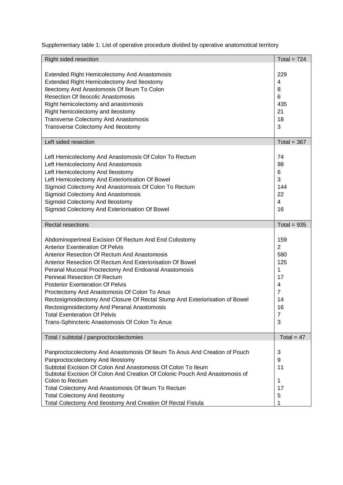Supplementary table 1: List of operative procedure divided by operative anatomotical territory

| Right sided resection                                                       | Total = $724$  |
|-----------------------------------------------------------------------------|----------------|
|                                                                             |                |
| <b>Extended Right Hemicolectomy And Anastomosis</b>                         | 229            |
| Extended Right Hemicolectomy And Ileostomy                                  | $\overline{4}$ |
| Ileectomy And Anastomosis Of Ileum To Colon                                 | 8              |
| <b>Resection Of Ileocolic Anastomosis</b>                                   | 6              |
| Right hemicolectomy and anastomosis                                         | 435            |
| Right hemicolectomy and ileostomy                                           | 21             |
| <b>Transverse Colectomy And Anastomosis</b>                                 | 18             |
| Transverse Colectomy And Ileostomy                                          | 3              |
|                                                                             |                |
| Left sided resection                                                        | Total = $367$  |
|                                                                             |                |
| Left Hemicolectomy And Anastomosis Of Colon To Rectum                       | 74             |
| Left Hemicolectomy And Anastomosis                                          | 98             |
| Left Hemicolectomy And Ileostomy                                            | 6              |
| Left Hemicolectomy And Exteriorisation Of Bowel                             | 3              |
| Sigmoid Colectomy And Anastomosis Of Colon To Rectum                        | 144            |
| Sigmoid Colectomy And Anastomosis                                           | 22             |
| Sigmoid Colectomy And Ileostomy                                             | $\overline{4}$ |
| Sigmoid Colectomy And Exteriorisation Of Bowel                              | 16             |
|                                                                             |                |
| <b>Rectal resections</b>                                                    | Total = $935$  |
|                                                                             |                |
| Abdominoperineal Excision Of Rectum And End Colostomy                       | 159            |
| <b>Anterior Exenteration Of Pelvis</b>                                      | $\overline{2}$ |
| Anterior Resection Of Rectum And Anastomosis                                | 580            |
| Anterior Resection Of Rectum And Exteriorisation Of Bowel                   | 125            |
| Peranal Mucosal Proctectomy And Endoanal Anastomosis                        | 1              |
| <b>Perineal Resection Of Rectum</b>                                         | 17             |
| <b>Posterior Exenteration Of Pelvis</b>                                     | 4              |
| Proctectomy And Anastomosis Of Colon To Anus                                | $\overline{7}$ |
| Rectosigmoidectomy And Closure Of Rectal Stump And Exteriorisation of Bowel | 14             |
| Rectosigmoidectomy And Peranal Anastomosis                                  | 16             |
| <b>Total Exenteration Of Pelvis</b>                                         | 7              |
| Trans-Sphincteric Anastomosis Of Colon To Anus                              | 3              |
|                                                                             |                |
| Total / subtotal / panproctocolectomies                                     | Total = $47$   |
|                                                                             |                |
| Panproctocolectomy And Anastomosis Of Ileum To Anus And Creation of Pouch   | 3              |
| Panproctocolectomy And Ileostomy                                            | 9              |
| Subtotal Excision Of Colon And Anastomosis Of Colon To Ileum                | 11             |
| Subtotal Excision Of Colon And Creation Of Colonic Pouch And Anastomosis of |                |
| Colon to Rectum                                                             | 1              |
| Total Colectomy And Anastomosis Of Ileum To Rectum                          | 17             |
| <b>Total Colectomy And Ileostomy</b>                                        | 5              |
| Total Colectomy And Ileostomy And Creation Of Rectal Fistula                | 1              |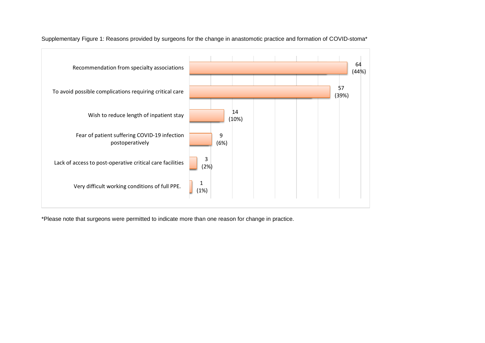

Supplementary Figure 1: Reasons provided by surgeons for the change in anastomotic practice and formation of COVID-stoma\*

\*Please note that surgeons were permitted to indicate more than one reason for change in practice.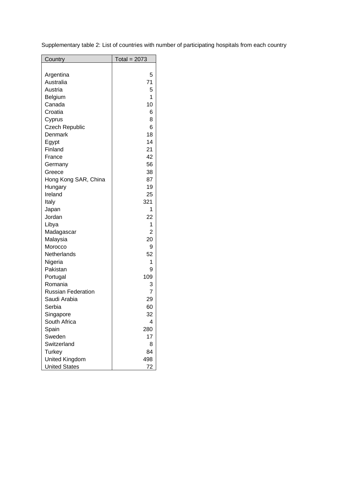Supplementary table 2: List of countries with number of participating hospitals from each country

| <b>Country</b>            | Total = $2073$ |
|---------------------------|----------------|
|                           |                |
| Argentina                 | 5              |
| Australia                 | 71             |
| Austria                   | 5              |
| Belgium                   | 1              |
| Canada                    | 10             |
| Croatia                   | 6              |
| Cyprus                    | 8              |
| <b>Czech Republic</b>     | 6              |
| Denmark                   | 18             |
| Egypt                     | 14             |
| Finland                   | 21             |
| France                    | 42             |
| Germany                   | 56             |
| Greece                    | 38             |
| Hong Kong SAR, China      | 87             |
| Hungary                   | 19             |
| Ireland                   | 25             |
| Italy                     | 321            |
| Japan                     | 1              |
| Jordan                    | 22             |
| Libya                     | 1              |
| Madagascar                | $\overline{2}$ |
| Malaysia                  | 20             |
| Morocco                   | 9              |
| Netherlands               | 52             |
| Nigeria                   | 1              |
| Pakistan                  | 9              |
| Portugal                  | 109            |
| Romania                   | 3              |
| <b>Russian Federation</b> | $\overline{7}$ |
| Saudi Arabia              | 29             |
| Serbia                    | 60             |
| Singapore                 | 32             |
| South Africa              | 4              |
| Spain                     | 280            |
| Sweden                    | 17             |
| Switzerland               | 8              |
| <b>Turkey</b>             | 84             |
| United Kingdom            | 498            |
| <b>United States</b>      | 72             |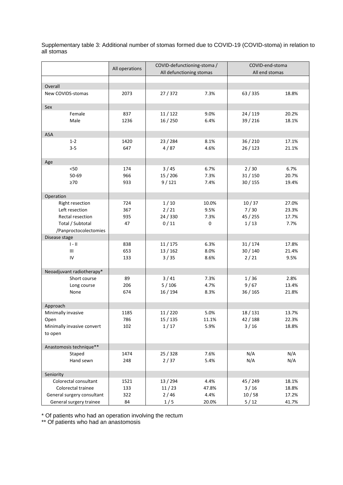Supplementary table 3: Additional number of stomas formed due to COVID-19 (COVID-stoma) in relation to all stomas

|                            | All operations | COVID-defunctioning-stoma / |              | COVID-end-stoma    |       |  |
|----------------------------|----------------|-----------------------------|--------------|--------------------|-------|--|
|                            |                | All defunctioning stomas    |              | All end stomas     |       |  |
|                            |                |                             |              |                    |       |  |
| Overall                    |                |                             |              |                    |       |  |
| New COVIDS-stomas          | 2073           | 27 / 372                    | 7.3%         | 63 / 335           | 18.8% |  |
|                            |                |                             |              |                    |       |  |
| Sex                        |                |                             |              |                    | 20.2% |  |
| Female<br>Male             | 837<br>1236    | 11/122<br>16/250            | 9.0%<br>6.4% | 24/119<br>39 / 216 | 18.1% |  |
|                            |                |                             |              |                    |       |  |
| ASA                        |                |                             |              |                    |       |  |
| $1 - 2$                    | 1420           | 23 / 284                    | 8.1%         | 36 / 210           | 17.1% |  |
| $3 - 5$                    | 647            | 4/87                        | 4.6%         | 26 / 123           | 21.1% |  |
|                            |                |                             |              |                    |       |  |
| Age                        |                |                             |              |                    |       |  |
| $< 50$                     | 174            | 3/45                        | 6.7%         | 2/30               | 6.7%  |  |
| 50-69                      | 966            | 15 / 206                    | 7.3%         | 31/150             | 20.7% |  |
| $\geq 70$                  | 933            | 9/121                       | 7.4%         | 30/155             | 19.4% |  |
|                            |                |                             |              |                    |       |  |
| Operation                  |                |                             |              |                    |       |  |
| Right resection            | 724            | 1/10                        | 10.0%        | 10/37              | 27.0% |  |
| Left resection             | 367            | 2/21                        | 9.5%         | 7/30               | 23.3% |  |
| Rectal resection           | 935            | 24 / 330                    | 7.3%         | 45 / 255           | 17.7% |  |
| Total / Subtotal           | 47             | 0/11                        | 0            | 1/13               | 7.7%  |  |
| /Panproctocolectomies      |                |                             |              |                    |       |  |
| Disease stage              |                |                             |              |                    |       |  |
| $\parallel - \parallel$    | 838            | 11/175                      | 6.3%         | 31/174             | 17.8% |  |
| Ш                          | 653            | 13 / 162                    | 8.0%         | 30/140             | 21.4% |  |
| IV                         | 133            | 3/35                        | 8.6%         | 2/21               | 9.5%  |  |
|                            |                |                             |              |                    |       |  |
| Neoadjuvant radiotherapy*  |                |                             |              |                    |       |  |
| Short course               | 89             | $3/41$                      | 7.3%         | 1/36               | 2.8%  |  |
| Long course                | 206            | 5/106                       | 4.7%         | 9/67               | 13.4% |  |
| None                       | 674            | 16 / 194                    | 8.3%         | 36 / 165           | 21.8% |  |
|                            |                |                             |              |                    |       |  |
| Approach                   |                |                             |              |                    |       |  |
| Minimally invasive         | 1185           | 11/220                      | 5.0%         | 18 / 131           | 13.7% |  |
| Open                       | 786            | 15 / 135                    | 11.1%        | 42 / 188           | 22.3% |  |
| Minimally invasive convert | 102            | 1/17                        | 5.9%         | $3/16$             | 18.8% |  |
| to open                    |                |                             |              |                    |       |  |
| Anastomosis technique**    |                |                             |              |                    |       |  |
| Staped                     | 1474           | 25 / 328                    | 7.6%         | N/A                | N/A   |  |
| Hand sewn                  | 248            | 2/37                        | 5.4%         | N/A                | N/A   |  |
|                            |                |                             |              |                    |       |  |
| Seniority                  |                |                             |              |                    |       |  |
| Colorectal consultant      | 1521           | 13 / 294                    | 4.4%         | 45 / 249           | 18.1% |  |
| Colorectal trainee         | 133            | 11/23                       | 47.8%        | 3/16               | 18.8% |  |
| General surgery consultant | 322            | 2/46                        | 4.4%         | 10/58              | 17.2% |  |
| General surgery trainee    | 84             | 1/5                         | 20.0%        | $5/12$             | 41.7% |  |

\* Of patients who had an operation involving the rectum

\*\* Of patients who had an anastomosis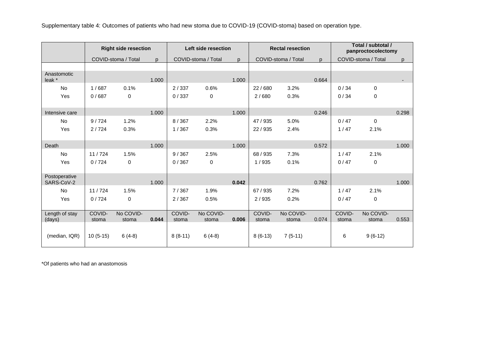Supplementary table 4: Outcomes of patients who had new stoma due to COVID-19 (COVID-stoma) based on operation type.

|                             | <b>Right side resection</b> |                     | Left side resection |           |                     | <b>Rectal resection</b> |           |                     | Total / subtotal /<br>panproctocolectomy |        |                     |       |
|-----------------------------|-----------------------------|---------------------|---------------------|-----------|---------------------|-------------------------|-----------|---------------------|------------------------------------------|--------|---------------------|-------|
|                             |                             | COVID-stoma / Total | $\mathsf{D}$        |           | COVID-stoma / Total | p                       |           | COVID-stoma / Total | p.                                       |        | COVID-stoma / Total | p     |
|                             |                             |                     |                     |           |                     |                         |           |                     |                                          |        |                     |       |
| Anastomotic<br>leak *       |                             |                     | 1.000               |           |                     | 1.000                   |           |                     | 0.664                                    |        |                     |       |
| No                          | 1/687                       | 0.1%                |                     | 2/337     | 0.6%                |                         | 22/680    | 3.2%                |                                          | 0/34   | $\mathbf 0$         |       |
| Yes                         | 0/687                       | $\mathbf 0$         |                     | 0/337     | $\pmb{0}$           |                         | 2/680     | 0.3%                |                                          | 0/34   | 0                   |       |
|                             |                             |                     |                     |           |                     |                         |           |                     |                                          |        |                     |       |
| Intensive care              |                             |                     | 1.000               |           |                     | 1.000                   |           |                     | 0.246                                    |        |                     | 0.298 |
| <b>No</b>                   | 9/724                       | 1.2%                |                     | 8/367     | 2.2%                |                         | 47 / 935  | 5.0%                |                                          | 0/47   | $\mathbf 0$         |       |
| Yes                         | 2/724                       | 0.3%                |                     | 1/367     | 0.3%                |                         | 22/935    | 2.4%                |                                          | 1/47   | 2.1%                |       |
|                             |                             |                     |                     |           |                     |                         |           |                     |                                          |        |                     |       |
| Death                       |                             |                     | 1.000               |           |                     | 1.000                   |           |                     | 0.572                                    |        |                     | 1.000 |
| <b>No</b>                   | 11/724                      | 1.5%                |                     | 9/367     | 2.5%                |                         | 68 / 935  | 7.3%                |                                          | 1/47   | 2.1%                |       |
| Yes                         | 0/724                       | $\mathbf 0$         |                     | 0/367     | $\pmb{0}$           |                         | 1/935     | 0.1%                |                                          | 0/47   | 0                   |       |
|                             |                             |                     |                     |           |                     |                         |           |                     |                                          |        |                     |       |
| Postoperative<br>SARS-CoV-2 |                             |                     | 1.000               |           |                     | 0.042                   |           |                     | 0.762                                    |        |                     | 1.000 |
| No                          | 11/724                      | 1.5%                |                     | 7/367     | 1.9%                |                         | 67 / 935  | 7.2%                |                                          | 1/47   | 2.1%                |       |
| Yes                         | 0/724                       | $\mathbf 0$         |                     | 2/367     | 0.5%                |                         | 2/935     | 0.2%                |                                          | 0/47   | 0                   |       |
|                             |                             |                     |                     |           |                     |                         |           |                     |                                          |        |                     |       |
| Length of stay              | COVID-                      | No COVID-           | 0.044               | COVID-    | No COVID-           |                         | COVID-    | No COVID-           |                                          | COVID- | No COVID-           |       |
| (days)                      | stoma                       | stoma               |                     | stoma     | stoma               | 0.006                   | stoma     | stoma               | 0.074                                    | stoma  | stoma               | 0.553 |
| (median, IQR)               | $10(5-15)$                  | $6(4-8)$            |                     | $8(8-11)$ | $6(4-8)$            |                         | $8(6-13)$ | $7(5-11)$           |                                          | 6      | $9(6-12)$           |       |

\*Of patients who had an anastomosis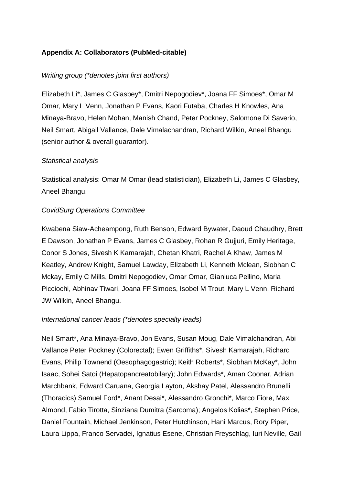# **Appendix A: Collaborators (PubMed-citable)**

## *Writing group (\*denotes joint first authors)*

Elizabeth Li\*, James C Glasbey\*, Dmitri Nepogodiev\*, Joana FF Simoes\*, Omar M Omar, Mary L Venn, Jonathan P Evans, Kaori Futaba, Charles H Knowles, Ana Minaya-Bravo, Helen Mohan, Manish Chand, Peter Pockney, Salomone Di Saverio, Neil Smart, Abigail Vallance, Dale Vimalachandran, Richard Wilkin, Aneel Bhangu (senior author & overall guarantor).

### *Statistical analysis*

Statistical analysis: Omar M Omar (lead statistician), Elizabeth Li, James C Glasbey, Aneel Bhangu.

# *CovidSurg Operations Committee*

Kwabena Siaw-Acheampong, Ruth Benson, Edward Bywater, Daoud Chaudhry, Brett E Dawson, Jonathan P Evans, James C Glasbey, Rohan R Gujjuri, Emily Heritage, Conor S Jones, Sivesh K Kamarajah, Chetan Khatri, Rachel A Khaw, James M Keatley, Andrew Knight, Samuel Lawday, Elizabeth Li, Kenneth Mclean, Siobhan C Mckay, Emily C Mills, Dmitri Nepogodiev, Omar Omar, Gianluca Pellino, Maria Picciochi, Abhinav Tiwari, Joana FF Simoes, Isobel M Trout, Mary L Venn, Richard JW Wilkin, Aneel Bhangu.

### *International cancer leads (\*denotes specialty leads)*

Neil Smart\*, Ana Minaya-Bravo, Jon Evans, Susan Moug, Dale Vimalchandran, Abi Vallance Peter Pockney (Colorectal); Ewen Griffiths\*, Sivesh Kamarajah, Richard Evans, Philip Townend (Oesophagogastric); Keith Roberts\*, Siobhan McKay\*, John Isaac, Sohei Satoi (Hepatopancreatobilary); John Edwards\*, Aman Coonar, Adrian Marchbank, Edward Caruana, Georgia Layton, Akshay Patel, Alessandro Brunelli (Thoracics) Samuel Ford\*, Anant Desai\*, Alessandro Gronchi\*, Marco Fiore, Max Almond, Fabio Tirotta, Sinziana Dumitra (Sarcoma); Angelos Kolias\*, Stephen Price, Daniel Fountain, Michael Jenkinson, Peter Hutchinson, Hani Marcus, Rory Piper, Laura Lippa, Franco Servadei, Ignatius Esene, Christian Freyschlag, Iuri Neville, Gail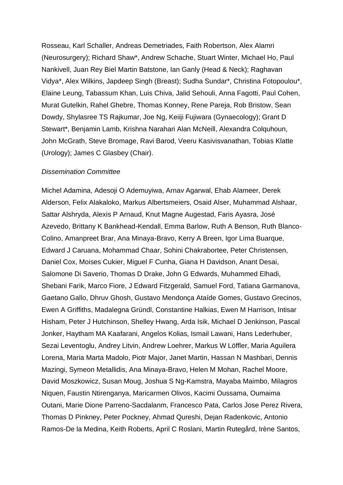Rosseau, Karl Schaller, Andreas Demetriades, Faith Robertson, Alex Alamri (Neurosurgery); Richard Shaw\*, Andrew Schache, Stuart Winter, Michael Ho, Paul Nankivell, Juan Rey Biel Martin Batstone, Ian Ganly (Head & Neck); Raghavan Vidya\*, Alex Wilkins, Japdeep Singh (Breast); Sudha Sundar\*, Christina Fotopoulou\*, Elaine Leung, Tabassum Khan, Luis Chiva, Jalid Sehouli, Anna Fagotti, Paul Cohen, Murat Gutelkin, Rahel Ghebre, Thomas Konney, Rene Pareja, Rob Bristow, Sean Dowdy, Shylasree TS Rajkumar, Joe Ng, Keiiji Fujiwara (Gynaecology); Grant D Stewart\*, Benjamin Lamb, Krishna Narahari Alan McNeill, Alexandra Colquhoun, John McGrath, Steve Bromage, Ravi Barod, Veeru Kasivisvanathan, Tobias Klatte (Urology); James C Glasbey (Chair).

#### *Dissemination Committee*

Michel Adamina, Adesoji O Ademuyiwa, Arnav Agarwal, Ehab Alameer, Derek Alderson, Felix Alakaloko, Markus Albertsmeiers, Osaid Alser, Muhammad Alshaar, Sattar Alshryda, Alexis P Arnaud, Knut Magne Augestad, Faris Ayasra, José Azevedo, Brittany K Bankhead-Kendall, Emma Barlow, Ruth A Benson, Ruth Blanco-Colino, Amanpreet Brar, Ana Minaya-Bravo, Kerry A Breen, Igor Lima Buarque, Edward J Caruana, Mohammad Chaar, Sohini Chakrabortee, Peter Christensen, Daniel Cox, Moises Cukier, Miguel F Cunha, Giana H Davidson, Anant Desai, Salomone Di Saverio, Thomas D Drake, John G Edwards, Muhammed Elhadi, Shebani Farik, Marco Fiore, J Edward Fitzgerald, Samuel Ford, Tatiana Garmanova, Gaetano Gallo, Dhruv Ghosh, Gustavo Mendonça Ataíde Gomes, Gustavo Grecinos, Ewen A Griffiths, Madalegna Gründl, Constantine Halkias, Ewen M Harrison, Intisar Hisham, Peter J Hutchinson, Shelley Hwang, Arda Isik, Michael D Jenkinson, Pascal Jonker, Haytham MA Kaafarani, Angelos Kolias, Ismail Lawani, Hans Lederhuber, Sezai Leventoglu, Andrey Litvin, Andrew Loehrer, Markus W Löffler, Maria Aguilera Lorena, Maria Marta Madolo, Piotr Major, Janet Martin, Hassan N Mashbari, Dennis Mazingi, Symeon Metallidis, Ana Minaya-Bravo, Helen M Mohan, Rachel Moore, David Moszkowicz, Susan Moug, Joshua S Ng-Kamstra, Mayaba Maimbo, Milagros Niquen, Faustin Ntirenganya, Maricarmen Olivos, Kacimi Oussama, Oumaima Outani, Marie Dione Parreno-Sacdalanm, Francesco Pata, Carlos Jose Perez Rivera, Thomas D Pinkney, Peter Pockney, Ahmad Qureshi, Dejan Radenkovic, Antonio Ramos-De la Medina, Keith Roberts, April C Roslani, Martin Rutegård, Irène Santos,